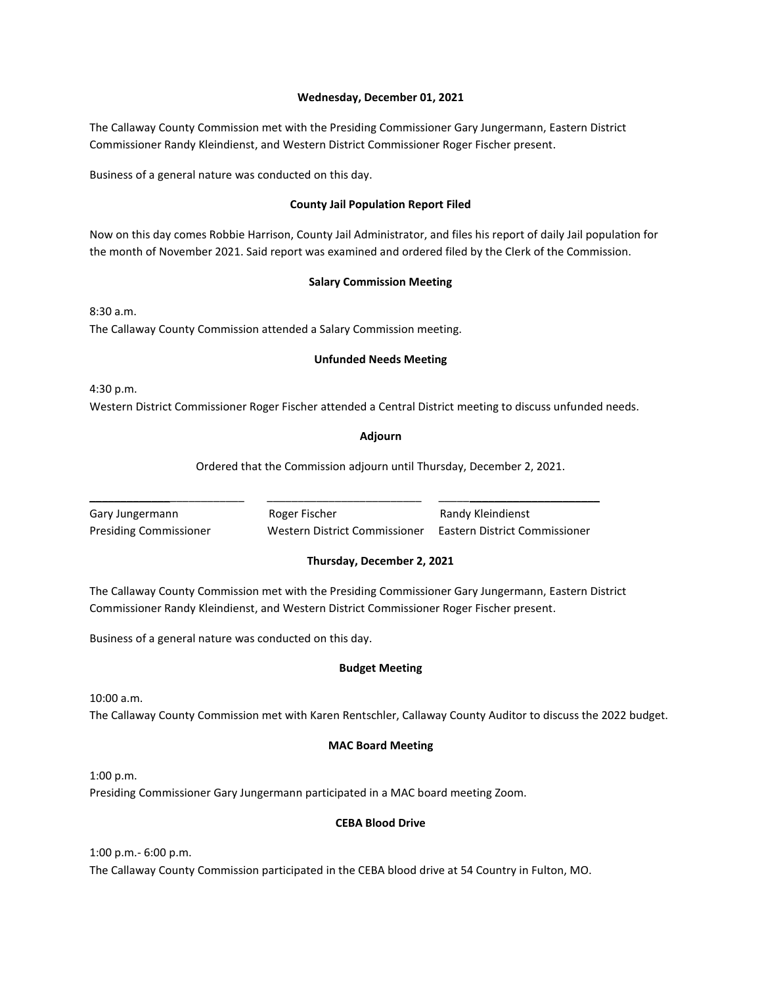#### **Wednesday, December 01, 2021**

The Callaway County Commission met with the Presiding Commissioner Gary Jungermann, Eastern District Commissioner Randy Kleindienst, and Western District Commissioner Roger Fischer present.

Business of a general nature was conducted on this day.

# **County Jail Population Report Filed**

Now on this day comes Robbie Harrison, County Jail Administrator, and files his report of daily Jail population for the month of November 2021. Said report was examined and ordered filed by the Clerk of the Commission.

# **Salary Commission Meeting**

8:30 a.m. The Callaway County Commission attended a Salary Commission meeting.

# **Unfunded Needs Meeting**

4:30 p.m. Western District Commissioner Roger Fischer attended a Central District meeting to discuss unfunded needs.

# **Adjourn**

Ordered that the Commission adjourn until Thursday, December 2, 2021.

Gary Jungermann **Roger Fischer** Randy Kleindienst Presiding Commissioner Western District Commissioner Eastern District Commissioner

\_\_\_\_\_\_\_\_\_\_\_\_\_\_\_\_\_\_\_\_\_\_\_\_\_ \_\_\_\_\_\_\_\_\_\_\_\_\_\_\_\_\_\_\_\_\_\_\_\_\_ \_\_\_\_\_\_\_\_\_\_\_\_\_\_\_\_\_\_\_\_\_\_\_\_\_\_

# **Thursday, December 2, 2021**

The Callaway County Commission met with the Presiding Commissioner Gary Jungermann, Eastern District Commissioner Randy Kleindienst, and Western District Commissioner Roger Fischer present.

Business of a general nature was conducted on this day.

# **Budget Meeting**

10:00 a.m. The Callaway County Commission met with Karen Rentschler, Callaway County Auditor to discuss the 2022 budget.

# **MAC Board Meeting**

1:00 p.m. Presiding Commissioner Gary Jungermann participated in a MAC board meeting Zoom.

# **CEBA Blood Drive**

1:00 p.m.- 6:00 p.m. The Callaway County Commission participated in the CEBA blood drive at 54 Country in Fulton, MO.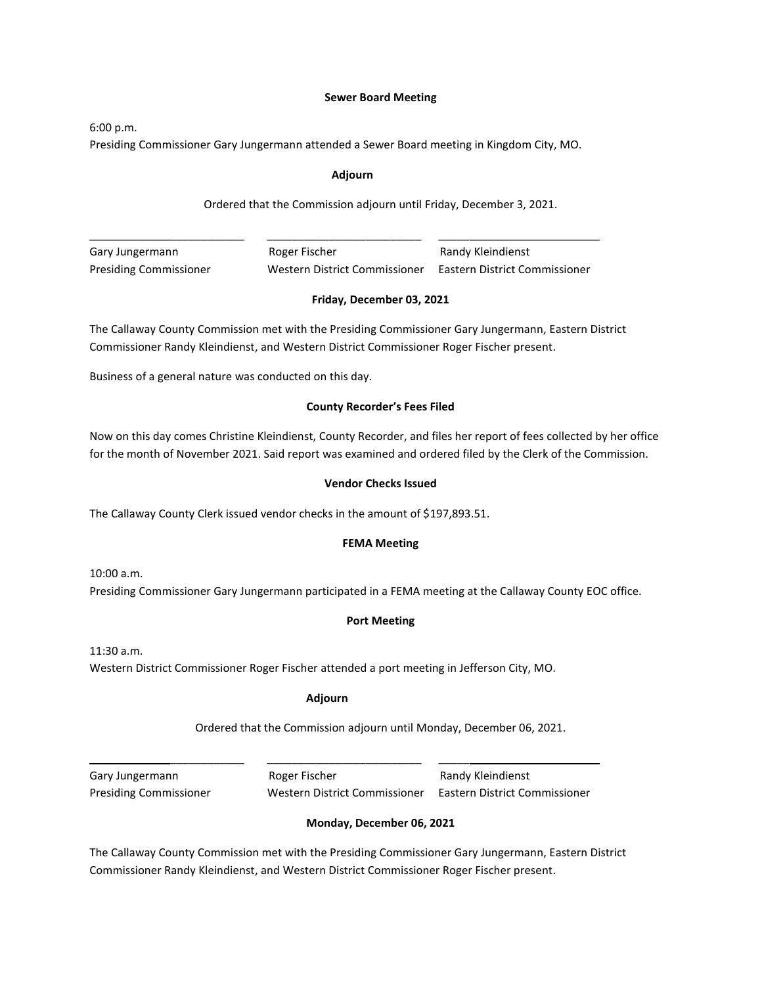#### **Sewer Board Meeting**

6:00 p.m.

Presiding Commissioner Gary Jungermann attended a Sewer Board meeting in Kingdom City, MO.

#### **Adjourn**

# Ordered that the Commission adjourn until Friday, December 3, 2021.

| Gary Jungermann               | Roger Fischer                 | Randy Kleindienst             |
|-------------------------------|-------------------------------|-------------------------------|
| <b>Presiding Commissioner</b> | Western District Commissioner | Eastern District Commissioner |

#### **Friday, December 03, 2021**

The Callaway County Commission met with the Presiding Commissioner Gary Jungermann, Eastern District Commissioner Randy Kleindienst, and Western District Commissioner Roger Fischer present.

Business of a general nature was conducted on this day.

#### **County Recorder's Fees Filed**

Now on this day comes Christine Kleindienst, County Recorder, and files her report of fees collected by her office for the month of November 2021. Said report was examined and ordered filed by the Clerk of the Commission.

#### **Vendor Checks Issued**

The Callaway County Clerk issued vendor checks in the amount of \$197,893.51.

#### **FEMA Meeting**

10:00 a.m. Presiding Commissioner Gary Jungermann participated in a FEMA meeting at the Callaway County EOC office.

#### **Port Meeting**

11:30 a.m. Western District Commissioner Roger Fischer attended a port meeting in Jefferson City, MO.

# **Adjourn**

\_\_\_\_\_\_\_\_\_\_\_\_\_\_\_\_\_\_\_\_\_\_\_\_\_ \_\_\_\_\_\_\_\_\_\_\_\_\_\_\_\_\_\_\_\_\_\_\_\_\_ \_\_\_\_\_\_\_\_\_\_\_\_\_\_\_\_\_\_\_\_\_\_\_\_\_\_

Ordered that the Commission adjourn until Monday, December 06, 2021.

Gary Jungermann **Roger Fischer** Randy Kleindienst Presiding Commissioner Western District Commissioner Eastern District Commissioner

# **Monday, December 06, 2021**

The Callaway County Commission met with the Presiding Commissioner Gary Jungermann, Eastern District Commissioner Randy Kleindienst, and Western District Commissioner Roger Fischer present.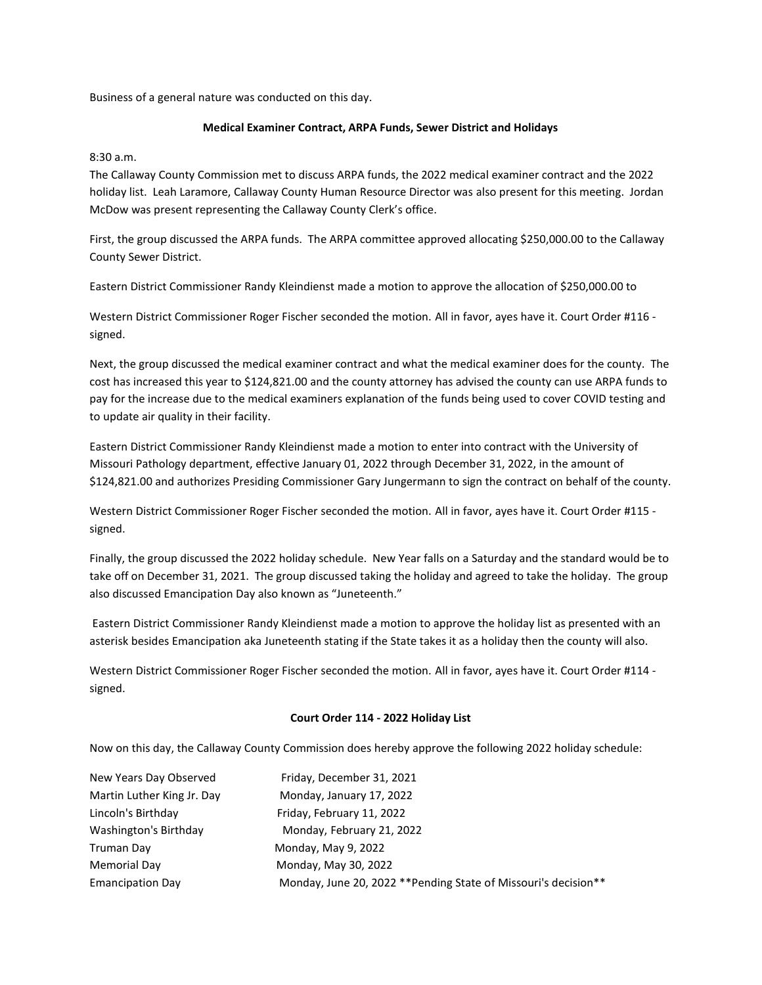Business of a general nature was conducted on this day.

# **Medical Examiner Contract, ARPA Funds, Sewer District and Holidays**

# 8:30 a.m.

The Callaway County Commission met to discuss ARPA funds, the 2022 medical examiner contract and the 2022 holiday list. Leah Laramore, Callaway County Human Resource Director was also present for this meeting. Jordan McDow was present representing the Callaway County Clerk's office.

First, the group discussed the ARPA funds. The ARPA committee approved allocating \$250,000.00 to the Callaway County Sewer District.

Eastern District Commissioner Randy Kleindienst made a motion to approve the allocation of \$250,000.00 to

Western District Commissioner Roger Fischer seconded the motion. All in favor, ayes have it. Court Order #116 signed.

Next, the group discussed the medical examiner contract and what the medical examiner does for the county. The cost has increased this year to \$124,821.00 and the county attorney has advised the county can use ARPA funds to pay for the increase due to the medical examiners explanation of the funds being used to cover COVID testing and to update air quality in their facility.

Eastern District Commissioner Randy Kleindienst made a motion to enter into contract with the University of Missouri Pathology department, effective January 01, 2022 through December 31, 2022, in the amount of \$124,821.00 and authorizes Presiding Commissioner Gary Jungermann to sign the contract on behalf of the county.

Western District Commissioner Roger Fischer seconded the motion. All in favor, ayes have it. Court Order #115 signed.

Finally, the group discussed the 2022 holiday schedule. New Year falls on a Saturday and the standard would be to take off on December 31, 2021. The group discussed taking the holiday and agreed to take the holiday. The group also discussed Emancipation Day also known as "Juneteenth."

Eastern District Commissioner Randy Kleindienst made a motion to approve the holiday list as presented with an asterisk besides Emancipation aka Juneteenth stating if the State takes it as a holiday then the county will also.

Western District Commissioner Roger Fischer seconded the motion. All in favor, ayes have it. Court Order #114 signed.

#### **Court Order 114 - 2022 Holiday List**

Now on this day, the Callaway County Commission does hereby approve the following 2022 holiday schedule:

| New Years Day Observed     | Friday, December 31, 2021                                        |
|----------------------------|------------------------------------------------------------------|
| Martin Luther King Jr. Day | Monday, January 17, 2022                                         |
| Lincoln's Birthday         | Friday, February 11, 2022                                        |
| Washington's Birthday      | Monday, February 21, 2022                                        |
| Truman Day                 | Monday, May 9, 2022                                              |
| <b>Memorial Day</b>        | Monday, May 30, 2022                                             |
| <b>Emancipation Day</b>    | Monday, June 20, 2022 ** Pending State of Missouri's decision ** |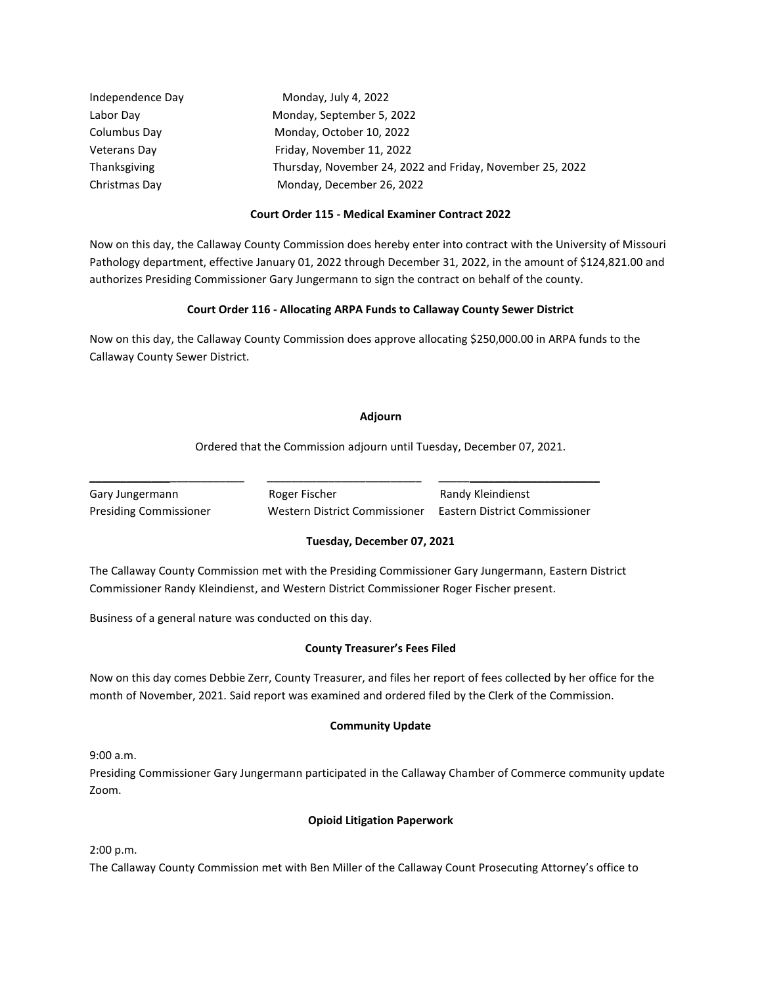| Independence Day    | Monday, July 4, 2022                                      |
|---------------------|-----------------------------------------------------------|
| Labor Day           | Monday, September 5, 2022                                 |
| Columbus Day        | Monday, October 10, 2022                                  |
| <b>Veterans Day</b> | Friday, November 11, 2022                                 |
| Thanksgiving        | Thursday, November 24, 2022 and Friday, November 25, 2022 |
| Christmas Day       | Monday, December 26, 2022                                 |

# **Court Order 115 - Medical Examiner Contract 2022**

Now on this day, the Callaway County Commission does hereby enter into contract with the University of Missouri Pathology department, effective January 01, 2022 through December 31, 2022, in the amount of \$124,821.00 and authorizes Presiding Commissioner Gary Jungermann to sign the contract on behalf of the county.

# **Court Order 116 - Allocating ARPA Funds to Callaway County Sewer District**

Now on this day, the Callaway County Commission does approve allocating \$250,000.00 in ARPA funds to the Callaway County Sewer District.

#### **Adjourn**

Ordered that the Commission adjourn until Tuesday, December 07, 2021.

Gary Jungermann **Roger Fischer Randy Kleindienst** Randy Kleindienst Presiding Commissioner Western District Commissioner Eastern District Commissioner

# **Tuesday, December 07, 2021**

The Callaway County Commission met with the Presiding Commissioner Gary Jungermann, Eastern District Commissioner Randy Kleindienst, and Western District Commissioner Roger Fischer present.

\_\_\_\_\_\_\_\_\_\_\_\_\_\_\_\_\_\_\_\_\_\_\_\_\_ \_\_\_\_\_\_\_\_\_\_\_\_\_\_\_\_\_\_\_\_\_\_\_\_\_ \_\_\_\_\_\_\_\_\_\_\_\_\_\_\_\_\_\_\_\_\_\_\_\_\_\_

Business of a general nature was conducted on this day.

# **County Treasurer's Fees Filed**

Now on this day comes Debbie Zerr, County Treasurer, and files her report of fees collected by her office for the month of November, 2021. Said report was examined and ordered filed by the Clerk of the Commission.

# **Community Update**

9:00 a.m.

Presiding Commissioner Gary Jungermann participated in the Callaway Chamber of Commerce community update Zoom.

# **Opioid Litigation Paperwork**

2:00 p.m.

The Callaway County Commission met with Ben Miller of the Callaway Count Prosecuting Attorney's office to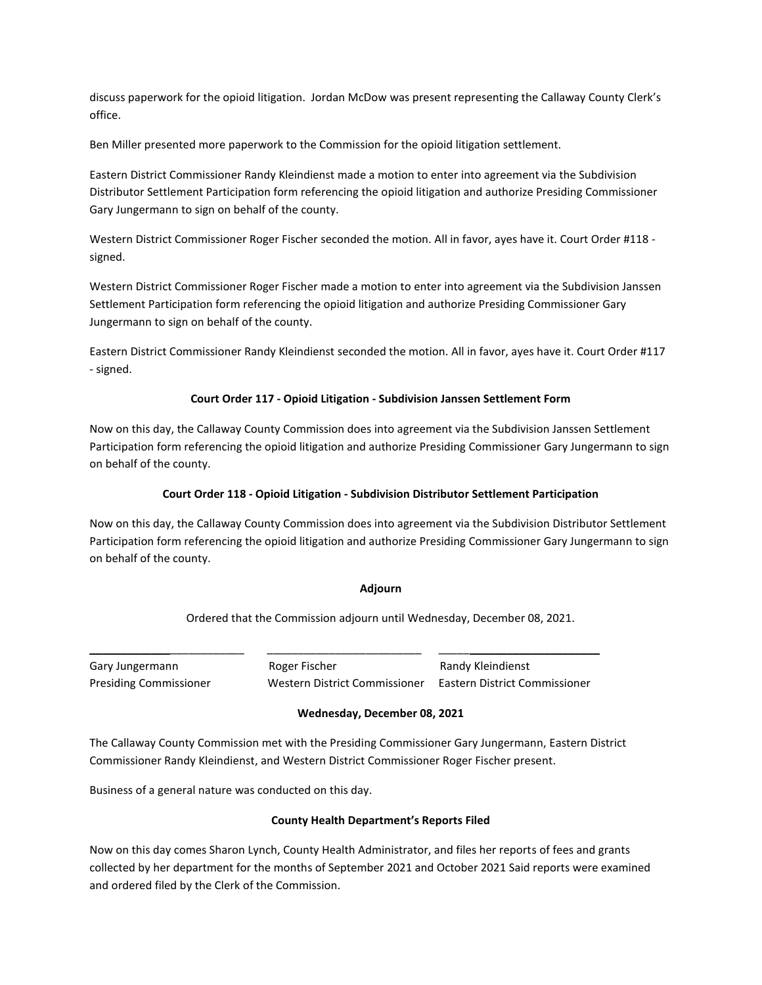discuss paperwork for the opioid litigation. Jordan McDow was present representing the Callaway County Clerk's office.

Ben Miller presented more paperwork to the Commission for the opioid litigation settlement.

Eastern District Commissioner Randy Kleindienst made a motion to enter into agreement via the Subdivision Distributor Settlement Participation form referencing the opioid litigation and authorize Presiding Commissioner Gary Jungermann to sign on behalf of the county.

Western District Commissioner Roger Fischer seconded the motion. All in favor, ayes have it. Court Order #118 signed.

Western District Commissioner Roger Fischer made a motion to enter into agreement via the Subdivision Janssen Settlement Participation form referencing the opioid litigation and authorize Presiding Commissioner Gary Jungermann to sign on behalf of the county.

Eastern District Commissioner Randy Kleindienst seconded the motion. All in favor, ayes have it. Court Order #117 - signed.

# **Court Order 117 - Opioid Litigation - Subdivision Janssen Settlement Form**

Now on this day, the Callaway County Commission does into agreement via the Subdivision Janssen Settlement Participation form referencing the opioid litigation and authorize Presiding Commissioner Gary Jungermann to sign on behalf of the county.

# **Court Order 118 - Opioid Litigation - Subdivision Distributor Settlement Participation**

Now on this day, the Callaway County Commission does into agreement via the Subdivision Distributor Settlement Participation form referencing the opioid litigation and authorize Presiding Commissioner Gary Jungermann to sign on behalf of the county.

# **Adjourn**

Ordered that the Commission adjourn until Wednesday, December 08, 2021.

Gary Jungermann **Roger Fischer** Romes Randy Kleindienst Presiding Commissioner Western District Commissioner Eastern District Commissioner

# **Wednesday, December 08, 2021**

The Callaway County Commission met with the Presiding Commissioner Gary Jungermann, Eastern District Commissioner Randy Kleindienst, and Western District Commissioner Roger Fischer present.

\_\_\_\_\_\_\_\_\_\_\_\_\_\_\_\_\_\_\_\_\_\_\_\_\_ \_\_\_\_\_\_\_\_\_\_\_\_\_\_\_\_\_\_\_\_\_\_\_\_\_ \_\_\_\_\_\_\_\_\_\_\_\_\_\_\_\_\_\_\_\_\_\_\_\_\_\_

Business of a general nature was conducted on this day.

# **County Health Department's Reports Filed**

Now on this day comes Sharon Lynch, County Health Administrator, and files her reports of fees and grants collected by her department for the months of September 2021 and October 2021 Said reports were examined and ordered filed by the Clerk of the Commission.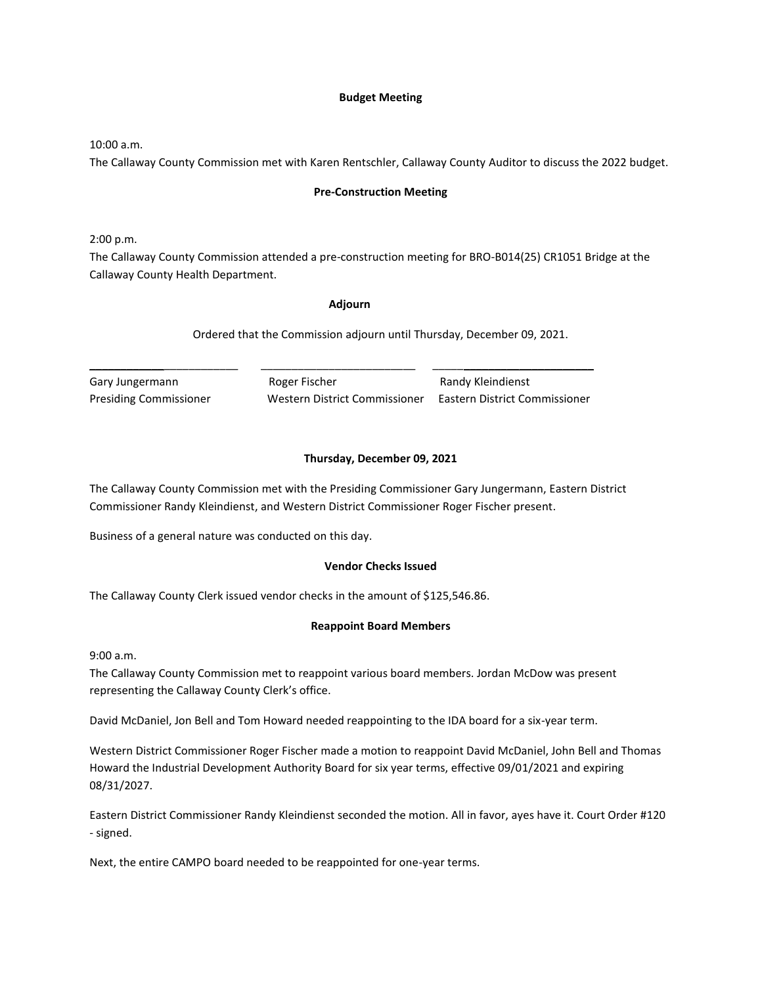#### **Budget Meeting**

10:00 a.m.

The Callaway County Commission met with Karen Rentschler, Callaway County Auditor to discuss the 2022 budget.

#### **Pre-Construction Meeting**

2:00 p.m.

The Callaway County Commission attended a pre-construction meeting for BRO-B014(25) CR1051 Bridge at the Callaway County Health Department.

#### **Adjourn**

Ordered that the Commission adjourn until Thursday, December 09, 2021.

Gary Jungermann **Roger Fischer** Randy Kleindienst

\_\_\_\_\_\_\_\_\_\_\_\_\_\_\_\_\_\_\_\_\_\_\_\_ \_\_\_\_\_\_\_\_\_\_\_\_\_\_\_\_\_\_\_\_\_\_\_\_\_ \_\_\_\_\_\_\_\_\_\_\_\_\_\_\_\_\_\_\_\_\_\_\_\_\_\_

Presiding Commissioner Western District Commissioner Eastern District Commissioner

#### **Thursday, December 09, 2021**

The Callaway County Commission met with the Presiding Commissioner Gary Jungermann, Eastern District Commissioner Randy Kleindienst, and Western District Commissioner Roger Fischer present.

Business of a general nature was conducted on this day.

#### **Vendor Checks Issued**

The Callaway County Clerk issued vendor checks in the amount of \$125,546.86.

#### **Reappoint Board Members**

9:00 a.m.

The Callaway County Commission met to reappoint various board members. Jordan McDow was present representing the Callaway County Clerk's office.

David McDaniel, Jon Bell and Tom Howard needed reappointing to the IDA board for a six-year term.

Western District Commissioner Roger Fischer made a motion to reappoint David McDaniel, John Bell and Thomas Howard the Industrial Development Authority Board for six year terms, effective 09/01/2021 and expiring 08/31/2027.

Eastern District Commissioner Randy Kleindienst seconded the motion. All in favor, ayes have it. Court Order #120 - signed.

Next, the entire CAMPO board needed to be reappointed for one-year terms.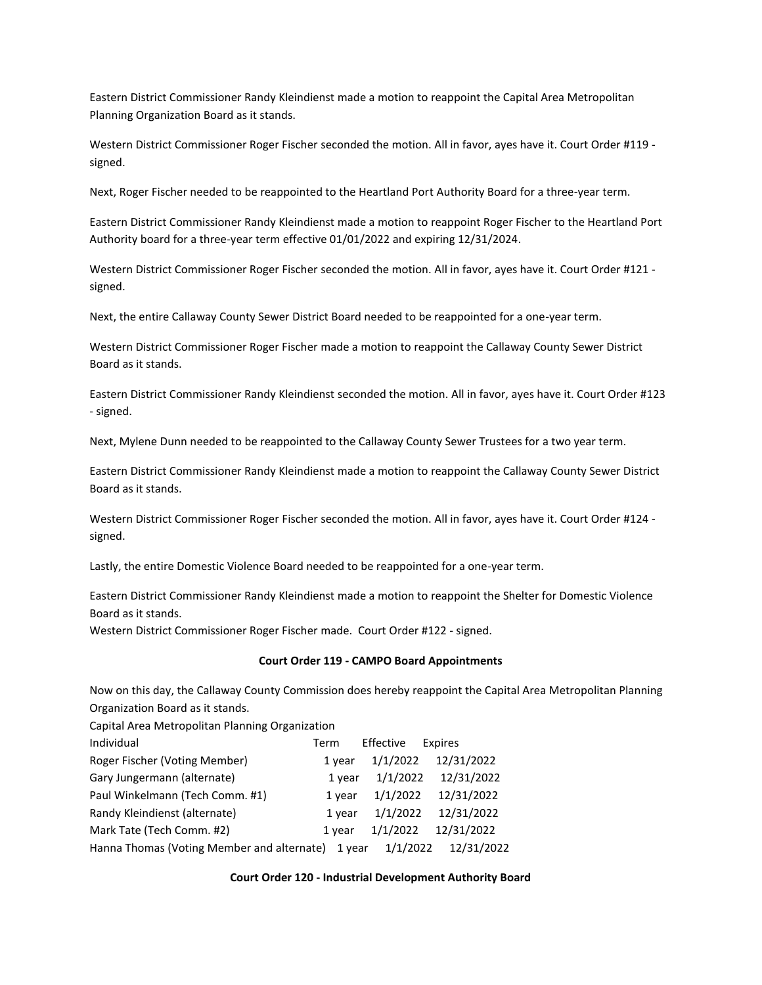Eastern District Commissioner Randy Kleindienst made a motion to reappoint the Capital Area Metropolitan Planning Organization Board as it stands.

Western District Commissioner Roger Fischer seconded the motion. All in favor, ayes have it. Court Order #119 signed.

Next, Roger Fischer needed to be reappointed to the Heartland Port Authority Board for a three-year term.

Eastern District Commissioner Randy Kleindienst made a motion to reappoint Roger Fischer to the Heartland Port Authority board for a three-year term effective 01/01/2022 and expiring 12/31/2024.

Western District Commissioner Roger Fischer seconded the motion. All in favor, ayes have it. Court Order #121 signed.

Next, the entire Callaway County Sewer District Board needed to be reappointed for a one-year term.

Western District Commissioner Roger Fischer made a motion to reappoint the Callaway County Sewer District Board as it stands.

Eastern District Commissioner Randy Kleindienst seconded the motion. All in favor, ayes have it. Court Order #123 - signed.

Next, Mylene Dunn needed to be reappointed to the Callaway County Sewer Trustees for a two year term.

Eastern District Commissioner Randy Kleindienst made a motion to reappoint the Callaway County Sewer District Board as it stands.

Western District Commissioner Roger Fischer seconded the motion. All in favor, ayes have it. Court Order #124 signed.

Lastly, the entire Domestic Violence Board needed to be reappointed for a one-year term.

Eastern District Commissioner Randy Kleindienst made a motion to reappoint the Shelter for Domestic Violence Board as it stands.

Western District Commissioner Roger Fischer made. Court Order #122 - signed.

#### **Court Order 119 - CAMPO Board Appointments**

Now on this day, the Callaway County Commission does hereby reappoint the Capital Area Metropolitan Planning Organization Board as it stands.

Capital Area Metropolitan Planning Organization

| Individual                                 | Term   | Effective | Expires    |
|--------------------------------------------|--------|-----------|------------|
| Roger Fischer (Voting Member)              | 1 year | 1/1/2022  | 12/31/2022 |
| Gary Jungermann (alternate)                | 1 year | 1/1/2022  | 12/31/2022 |
| Paul Winkelmann (Tech Comm. #1)            | 1 year | 1/1/2022  | 12/31/2022 |
| Randy Kleindienst (alternate)              | 1 year | 1/1/2022  | 12/31/2022 |
| Mark Tate (Tech Comm. #2)                  | 1 year | 1/1/2022  | 12/31/2022 |
| Hanna Thomas (Voting Member and alternate) | 1 vear | 1/1/2022  | 12/31/2022 |

#### **Court Order 120 - Industrial Development Authority Board**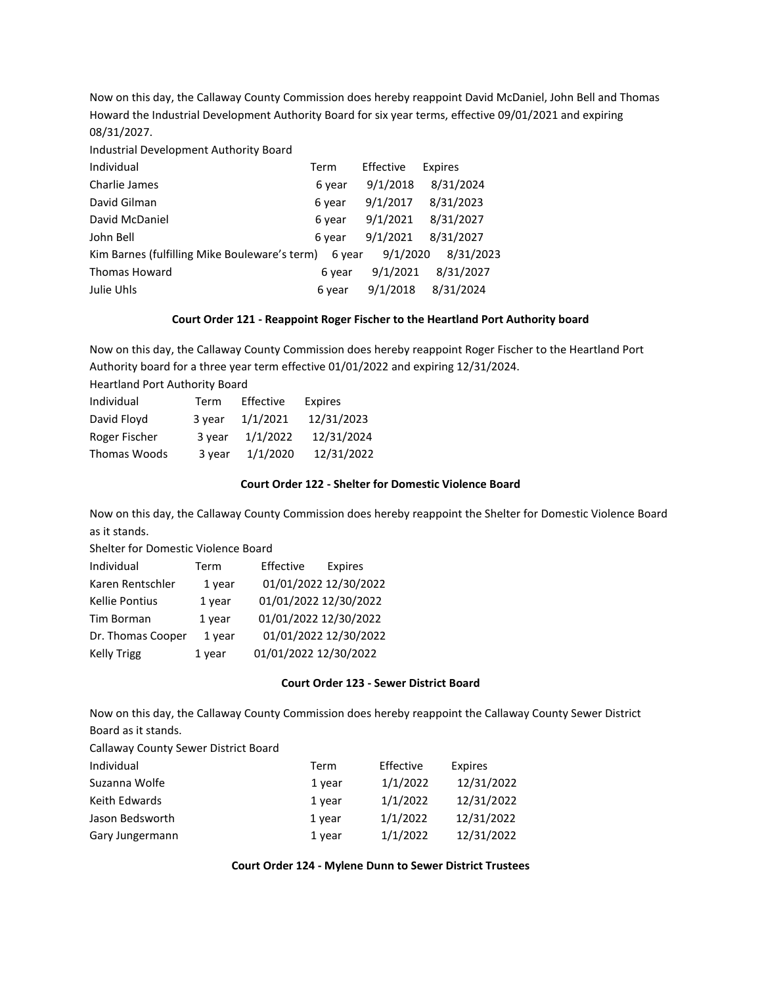Now on this day, the Callaway County Commission does hereby reappoint David McDaniel, John Bell and Thomas Howard the Industrial Development Authority Board for six year terms, effective 09/01/2021 and expiring 08/31/2027.

Industrial Development Authority Board

| Individual                                    | Term   | Effective | Expires   |
|-----------------------------------------------|--------|-----------|-----------|
| Charlie James                                 | 6 year | 9/1/2018  | 8/31/2024 |
| David Gilman                                  | 6 year | 9/1/2017  | 8/31/2023 |
| David McDaniel                                | 6 year | 9/1/2021  | 8/31/2027 |
| John Bell                                     | 6 year | 9/1/2021  | 8/31/2027 |
| Kim Barnes (fulfilling Mike Bouleware's term) | 6 year | 9/1/2020  | 8/31/2023 |
| <b>Thomas Howard</b>                          | 6 year | 9/1/2021  | 8/31/2027 |
| Julie Uhls                                    | 6 year | 9/1/2018  | 8/31/2024 |
|                                               |        |           |           |

#### **Court Order 121 - Reappoint Roger Fischer to the Heartland Port Authority board**

Now on this day, the Callaway County Commission does hereby reappoint Roger Fischer to the Heartland Port Authority board for a three year term effective 01/01/2022 and expiring 12/31/2024.

| Term   | Effective | <b>Expires</b> |
|--------|-----------|----------------|
| 3 year | 1/1/2021  | 12/31/2023     |
| 3 year | 1/1/2022  | 12/31/2024     |
| 3 year | 1/1/2020  | 12/31/2022     |
|        |           |                |

#### **Court Order 122 - Shelter for Domestic Violence Board**

Now on this day, the Callaway County Commission does hereby reappoint the Shelter for Domestic Violence Board as it stands.

Shelter for Domestic Violence Board

| Individual            | Term   | Effective             | Expires |
|-----------------------|--------|-----------------------|---------|
| Karen Rentschler      | 1 year | 01/01/2022 12/30/2022 |         |
| <b>Kellie Pontius</b> | 1 year | 01/01/2022 12/30/2022 |         |
| Tim Borman            | 1 year | 01/01/2022 12/30/2022 |         |
| Dr. Thomas Cooper     | 1 year | 01/01/2022 12/30/2022 |         |
| <b>Kelly Trigg</b>    | 1 year | 01/01/2022 12/30/2022 |         |

#### **Court Order 123 - Sewer District Board**

Now on this day, the Callaway County Commission does hereby reappoint the Callaway County Sewer District Board as it stands.

| Individual      | Term   | Effective | Expires    |
|-----------------|--------|-----------|------------|
| Suzanna Wolfe   | 1 year | 1/1/2022  | 12/31/2022 |
| Keith Edwards   | 1 year | 1/1/2022  | 12/31/2022 |
| Jason Bedsworth | 1 year | 1/1/2022  | 12/31/2022 |
| Gary Jungermann | 1 year | 1/1/2022  | 12/31/2022 |

**Court Order 124 - Mylene Dunn to Sewer District Trustees**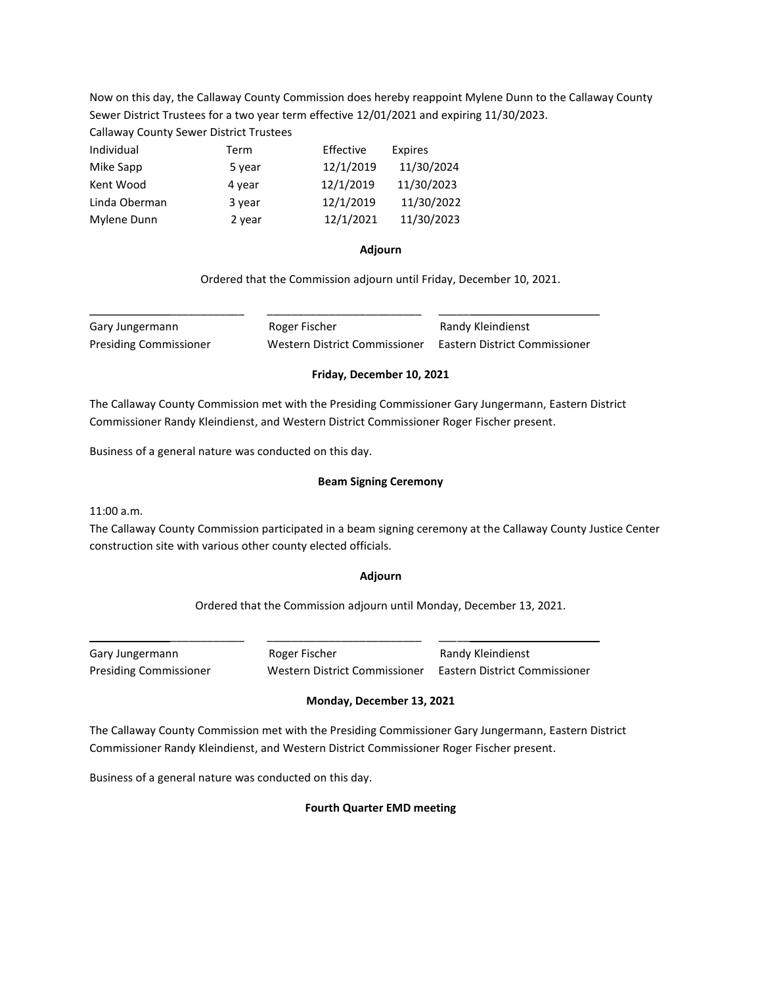Now on this day, the Callaway County Commission does hereby reappoint Mylene Dunn to the Callaway County Sewer District Trustees for a two year term effective 12/01/2021 and expiring 11/30/2023.

Callaway County Sewer District Trustees

| Term   | Effective | Expires    |
|--------|-----------|------------|
| 5 year | 12/1/2019 | 11/30/2024 |
| 4 year | 12/1/2019 | 11/30/2023 |
| 3 year | 12/1/2019 | 11/30/2022 |
| 2 year | 12/1/2021 | 11/30/2023 |
|        |           |            |

#### **Adjourn**

Ordered that the Commission adjourn until Friday, December 10, 2021.

Gary Jungermann **Roger Fischer** Randy Kleindienst Presiding Commissioner Western District Commissioner Eastern District Commissioner

# **Friday, December 10, 2021**

The Callaway County Commission met with the Presiding Commissioner Gary Jungermann, Eastern District Commissioner Randy Kleindienst, and Western District Commissioner Roger Fischer present.

\_\_\_\_\_\_\_\_\_\_\_\_\_\_\_\_\_\_\_\_\_\_\_\_\_ \_\_\_\_\_\_\_\_\_\_\_\_\_\_\_\_\_\_\_\_\_\_\_\_\_ \_\_\_\_\_\_\_\_\_\_\_\_\_\_\_\_\_\_\_\_\_\_\_\_\_\_

Business of a general nature was conducted on this day.

#### **Beam Signing Ceremony**

11:00 a.m.

The Callaway County Commission participated in a beam signing ceremony at the Callaway County Justice Center construction site with various other county elected officials.

#### **Adjourn**

Ordered that the Commission adjourn until Monday, December 13, 2021.

Gary Jungermann **Roger Fischer** Randy Kleindienst Presiding Commissioner Western District Commissioner Eastern District Commissioner

# **Monday, December 13, 2021**

The Callaway County Commission met with the Presiding Commissioner Gary Jungermann, Eastern District Commissioner Randy Kleindienst, and Western District Commissioner Roger Fischer present.

\_\_\_\_\_\_\_\_\_\_\_\_\_\_\_\_\_\_\_\_\_\_\_\_\_ \_\_\_\_\_\_\_\_\_\_\_\_\_\_\_\_\_\_\_\_\_\_\_\_\_ \_\_\_\_\_\_\_\_\_\_\_\_\_\_\_\_\_\_\_\_\_\_\_\_\_\_

Business of a general nature was conducted on this day.

**Fourth Quarter EMD meeting**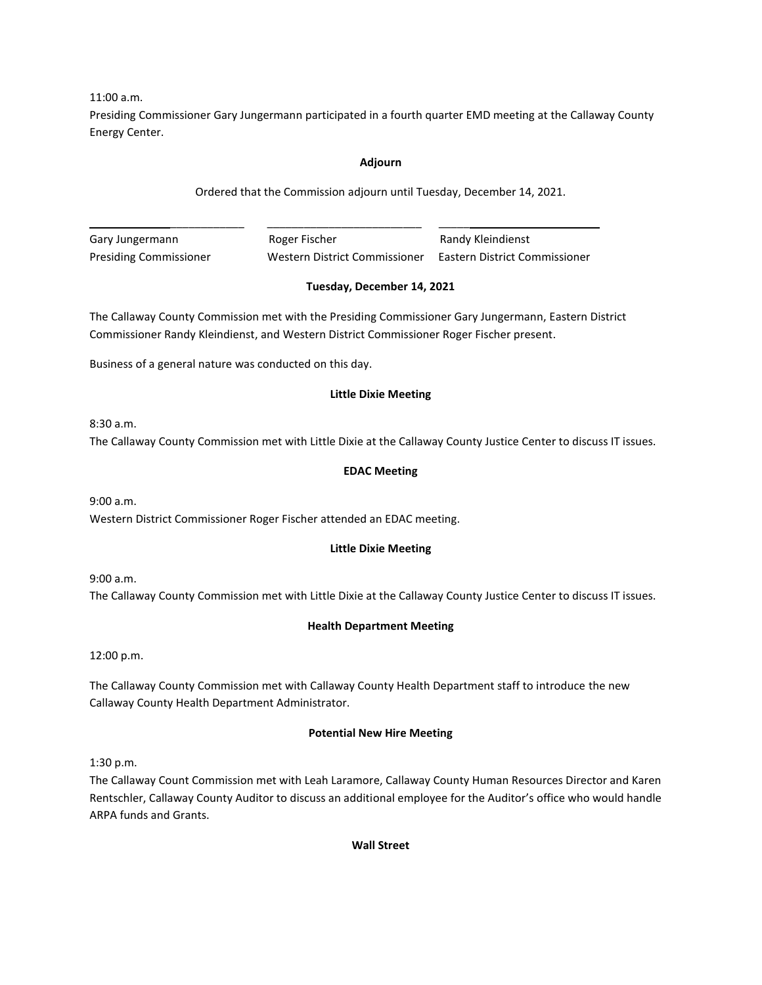11:00 a.m.

Presiding Commissioner Gary Jungermann participated in a fourth quarter EMD meeting at the Callaway County Energy Center.

# **Adjourn**

Ordered that the Commission adjourn until Tuesday, December 14, 2021.

Gary Jungermann **Roger Fischer** Randy Kleindienst Presiding Commissioner Western District Commissioner Eastern District Commissioner

# **Tuesday, December 14, 2021**

The Callaway County Commission met with the Presiding Commissioner Gary Jungermann, Eastern District Commissioner Randy Kleindienst, and Western District Commissioner Roger Fischer present.

\_\_\_\_\_\_\_\_\_\_\_\_\_\_\_\_\_\_\_\_\_\_\_\_\_ \_\_\_\_\_\_\_\_\_\_\_\_\_\_\_\_\_\_\_\_\_\_\_\_\_ \_\_\_\_\_\_\_\_\_\_\_\_\_\_\_\_\_\_\_\_\_\_\_\_\_\_

Business of a general nature was conducted on this day.

# **Little Dixie Meeting**

8:30 a.m.

The Callaway County Commission met with Little Dixie at the Callaway County Justice Center to discuss IT issues.

# **EDAC Meeting**

9:00 a.m. Western District Commissioner Roger Fischer attended an EDAC meeting.

# **Little Dixie Meeting**

9:00 a.m. The Callaway County Commission met with Little Dixie at the Callaway County Justice Center to discuss IT issues.

# **Health Department Meeting**

12:00 p.m.

The Callaway County Commission met with Callaway County Health Department staff to introduce the new Callaway County Health Department Administrator.

# **Potential New Hire Meeting**

1:30 p.m.

The Callaway Count Commission met with Leah Laramore, Callaway County Human Resources Director and Karen Rentschler, Callaway County Auditor to discuss an additional employee for the Auditor's office who would handle ARPA funds and Grants.

**Wall Street**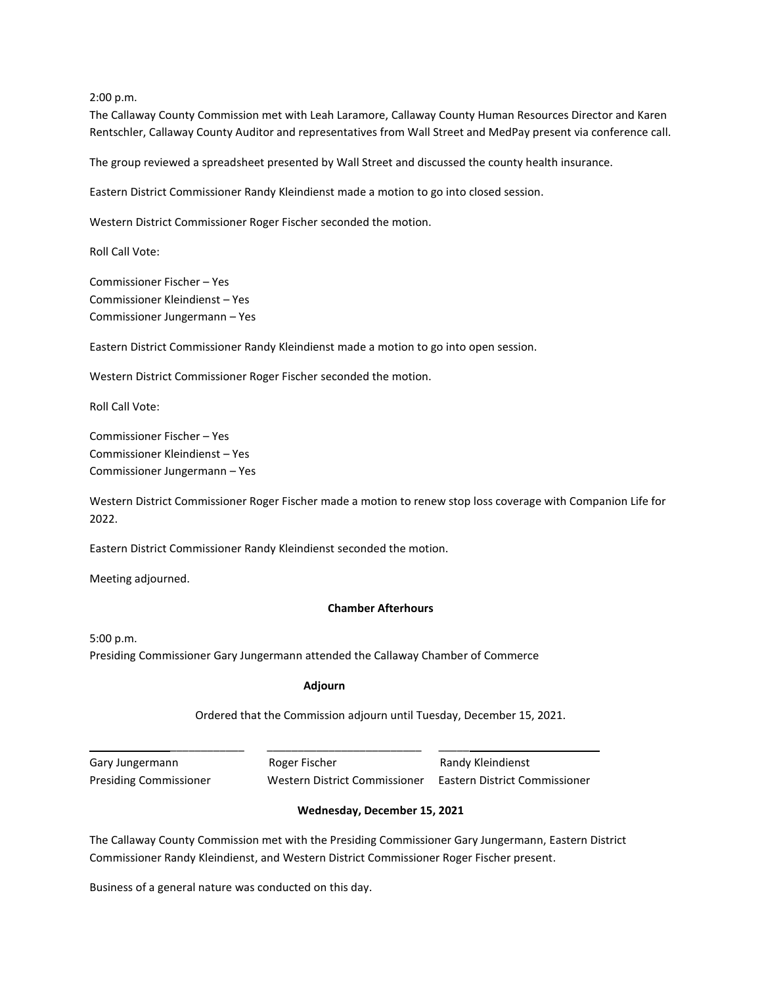2:00 p.m.

The Callaway County Commission met with Leah Laramore, Callaway County Human Resources Director and Karen Rentschler, Callaway County Auditor and representatives from Wall Street and MedPay present via conference call.

The group reviewed a spreadsheet presented by Wall Street and discussed the county health insurance.

Eastern District Commissioner Randy Kleindienst made a motion to go into closed session.

Western District Commissioner Roger Fischer seconded the motion.

Roll Call Vote:

Commissioner Fischer – Yes Commissioner Kleindienst – Yes Commissioner Jungermann – Yes

Eastern District Commissioner Randy Kleindienst made a motion to go into open session.

Western District Commissioner Roger Fischer seconded the motion.

Roll Call Vote:

Commissioner Fischer – Yes Commissioner Kleindienst – Yes Commissioner Jungermann – Yes

Western District Commissioner Roger Fischer made a motion to renew stop loss coverage with Companion Life for 2022.

Eastern District Commissioner Randy Kleindienst seconded the motion.

Meeting adjourned.

#### **Chamber Afterhours**

5:00 p.m.

Presiding Commissioner Gary Jungermann attended the Callaway Chamber of Commerce

#### **Adjourn**

\_\_\_\_\_\_\_\_\_\_\_\_\_\_\_\_\_\_\_\_\_\_\_\_\_ \_\_\_\_\_\_\_\_\_\_\_\_\_\_\_\_\_\_\_\_\_\_\_\_\_ \_\_\_\_\_\_\_\_\_\_\_\_\_\_\_\_\_\_\_\_\_\_\_\_\_\_

Ordered that the Commission adjourn until Tuesday, December 15, 2021.

Gary Jungermann **Roger Fischer** Randy Kleindienst Presiding Commissioner Western District Commissioner Eastern District Commissioner

#### **Wednesday, December 15, 2021**

The Callaway County Commission met with the Presiding Commissioner Gary Jungermann, Eastern District Commissioner Randy Kleindienst, and Western District Commissioner Roger Fischer present.

Business of a general nature was conducted on this day.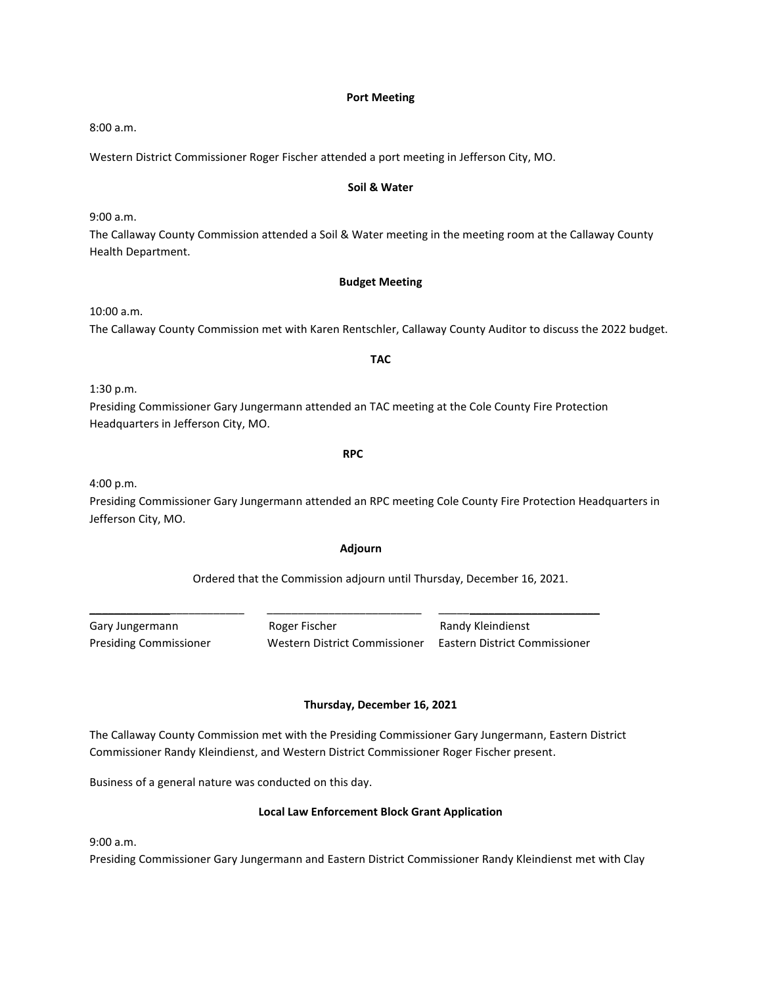#### **Port Meeting**

8:00 a.m.

Western District Commissioner Roger Fischer attended a port meeting in Jefferson City, MO.

#### **Soil & Water**

9:00 a.m.

The Callaway County Commission attended a Soil & Water meeting in the meeting room at the Callaway County Health Department.

#### **Budget Meeting**

10:00 a.m.

The Callaway County Commission met with Karen Rentschler, Callaway County Auditor to discuss the 2022 budget.

**TAC**

1:30 p.m.

Presiding Commissioner Gary Jungermann attended an TAC meeting at the Cole County Fire Protection Headquarters in Jefferson City, MO.

**RPC** 

4:00 p.m.

Presiding Commissioner Gary Jungermann attended an RPC meeting Cole County Fire Protection Headquarters in Jefferson City, MO.

#### **Adjourn**

#### Ordered that the Commission adjourn until Thursday, December 16, 2021.

\_\_\_\_\_\_\_\_\_\_\_\_\_\_\_\_\_\_\_\_\_\_\_\_\_ \_\_\_\_\_\_\_\_\_\_\_\_\_\_\_\_\_\_\_\_\_\_\_\_\_ \_\_\_\_\_\_\_\_\_\_\_\_\_\_\_\_\_\_\_\_\_\_\_\_\_\_

Gary Jungermann **Roger Fischer** Randy Kleindienst Presiding Commissioner Western District Commissioner Eastern District Commissioner

#### **Thursday, December 16, 2021**

The Callaway County Commission met with the Presiding Commissioner Gary Jungermann, Eastern District Commissioner Randy Kleindienst, and Western District Commissioner Roger Fischer present.

Business of a general nature was conducted on this day.

#### **Local Law Enforcement Block Grant Application**

9:00 a.m.

Presiding Commissioner Gary Jungermann and Eastern District Commissioner Randy Kleindienst met with Clay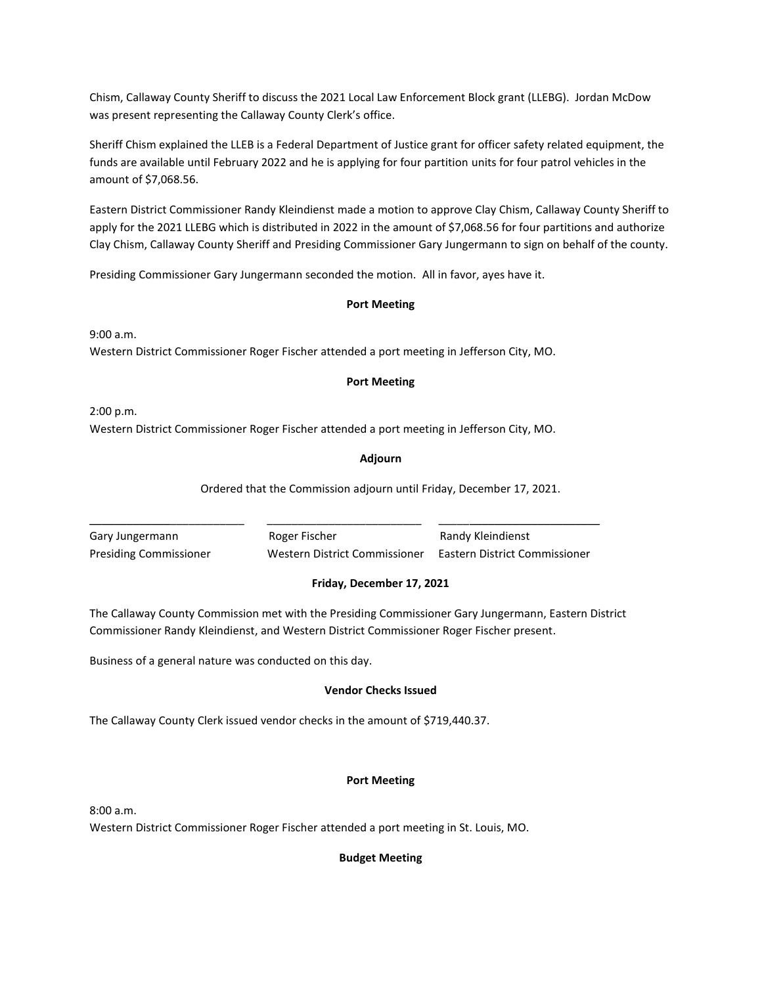Chism, Callaway County Sheriff to discuss the 2021 Local Law Enforcement Block grant (LLEBG). Jordan McDow was present representing the Callaway County Clerk's office.

Sheriff Chism explained the LLEB is a Federal Department of Justice grant for officer safety related equipment, the funds are available until February 2022 and he is applying for four partition units for four patrol vehicles in the amount of \$7,068.56.

Eastern District Commissioner Randy Kleindienst made a motion to approve Clay Chism, Callaway County Sheriff to apply for the 2021 LLEBG which is distributed in 2022 in the amount of \$7,068.56 for four partitions and authorize Clay Chism, Callaway County Sheriff and Presiding Commissioner Gary Jungermann to sign on behalf of the county.

Presiding Commissioner Gary Jungermann seconded the motion. All in favor, ayes have it.

# **Port Meeting**

9:00 a.m. Western District Commissioner Roger Fischer attended a port meeting in Jefferson City, MO.

# **Port Meeting**

2:00 p.m. Western District Commissioner Roger Fischer attended a port meeting in Jefferson City, MO.

# **Adjourn**

Ordered that the Commission adjourn until Friday, December 17, 2021.

| Gary Jungermann               | Roger Fischer                 | Randy Kleindienst             |
|-------------------------------|-------------------------------|-------------------------------|
| <b>Presiding Commissioner</b> | Western District Commissioner | Eastern District Commissioner |

# **Friday, December 17, 2021**

The Callaway County Commission met with the Presiding Commissioner Gary Jungermann, Eastern District Commissioner Randy Kleindienst, and Western District Commissioner Roger Fischer present.

Business of a general nature was conducted on this day.

# **Vendor Checks Issued**

The Callaway County Clerk issued vendor checks in the amount of \$719,440.37.

# **Port Meeting**

8:00 a.m.

Western District Commissioner Roger Fischer attended a port meeting in St. Louis, MO.

# **Budget Meeting**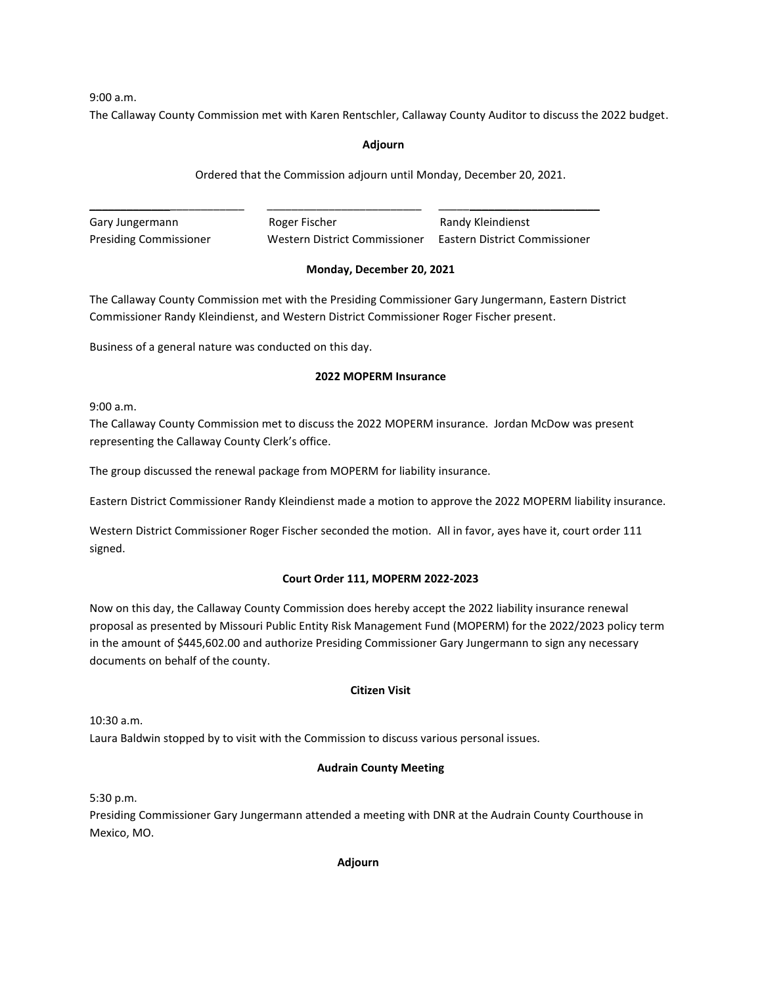9:00 a.m.

The Callaway County Commission met with Karen Rentschler, Callaway County Auditor to discuss the 2022 budget.

# **Adjourn**

Ordered that the Commission adjourn until Monday, December 20, 2021.

\_\_\_\_\_\_\_\_\_\_\_\_\_\_\_\_\_\_\_\_\_\_\_\_\_ \_\_\_\_\_\_\_\_\_\_\_\_\_\_\_\_\_\_\_\_\_\_\_\_\_ \_\_\_\_\_\_\_\_\_\_\_\_\_\_\_\_\_\_\_\_\_\_\_\_\_\_ Gary Jungermann **Roger Fischer** Randy Kleindienst Presiding Commissioner Western District Commissioner Eastern District Commissioner

# **Monday, December 20, 2021**

The Callaway County Commission met with the Presiding Commissioner Gary Jungermann, Eastern District Commissioner Randy Kleindienst, and Western District Commissioner Roger Fischer present.

Business of a general nature was conducted on this day.

# **2022 MOPERM Insurance**

9:00 a.m.

The Callaway County Commission met to discuss the 2022 MOPERM insurance. Jordan McDow was present representing the Callaway County Clerk's office.

The group discussed the renewal package from MOPERM for liability insurance.

Eastern District Commissioner Randy Kleindienst made a motion to approve the 2022 MOPERM liability insurance.

Western District Commissioner Roger Fischer seconded the motion. All in favor, ayes have it, court order 111 signed.

# **Court Order 111, MOPERM 2022-2023**

Now on this day, the Callaway County Commission does hereby accept the 2022 liability insurance renewal proposal as presented by Missouri Public Entity Risk Management Fund (MOPERM) for the 2022/2023 policy term in the amount of \$445,602.00 and authorize Presiding Commissioner Gary Jungermann to sign any necessary documents on behalf of the county.

# **Citizen Visit**

10:30 a.m.

Laura Baldwin stopped by to visit with the Commission to discuss various personal issues.

# **Audrain County Meeting**

5:30 p.m.

Presiding Commissioner Gary Jungermann attended a meeting with DNR at the Audrain County Courthouse in Mexico, MO.

**Adjourn**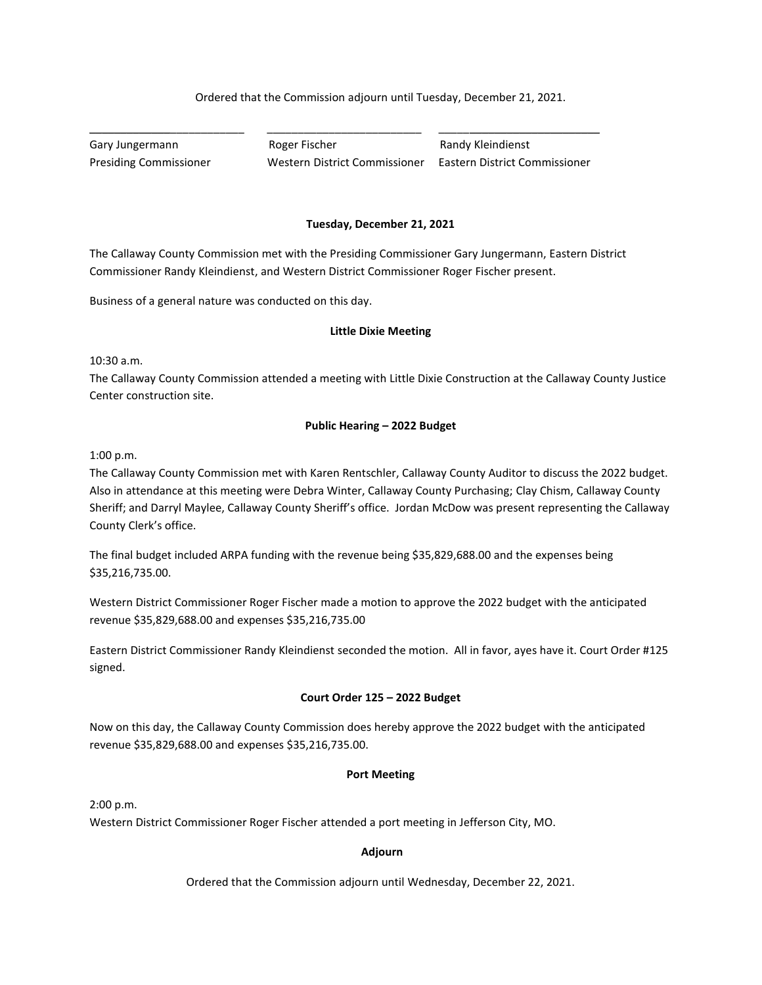# Ordered that the Commission adjourn until Tuesday, December 21, 2021.

Gary Jungermann **Roger Fischer** Randy Kleindienst Presiding Commissioner Western District Commissioner Eastern District Commissioner

The Callaway County Commission met with the Presiding Commissioner Gary Jungermann, Eastern District Commissioner Randy Kleindienst, and Western District Commissioner Roger Fischer present.

\_\_\_\_\_\_\_\_\_\_\_\_\_\_\_\_\_\_\_\_\_\_\_\_\_ \_\_\_\_\_\_\_\_\_\_\_\_\_\_\_\_\_\_\_\_\_\_\_\_\_ \_\_\_\_\_\_\_\_\_\_\_\_\_\_\_\_\_\_\_\_\_\_\_\_\_\_

Business of a general nature was conducted on this day.

#### **Little Dixie Meeting**

**Tuesday, December 21, 2021**

10:30 a.m.

The Callaway County Commission attended a meeting with Little Dixie Construction at the Callaway County Justice Center construction site.

# **Public Hearing – 2022 Budget**

1:00 p.m.

The Callaway County Commission met with Karen Rentschler, Callaway County Auditor to discuss the 2022 budget. Also in attendance at this meeting were Debra Winter, Callaway County Purchasing; Clay Chism, Callaway County Sheriff; and Darryl Maylee, Callaway County Sheriff's office. Jordan McDow was present representing the Callaway County Clerk's office.

The final budget included ARPA funding with the revenue being \$35,829,688.00 and the expenses being \$35,216,735.00.

Western District Commissioner Roger Fischer made a motion to approve the 2022 budget with the anticipated revenue \$35,829,688.00 and expenses \$35,216,735.00

Eastern District Commissioner Randy Kleindienst seconded the motion. All in favor, ayes have it. Court Order #125 signed.

## **Court Order 125 – 2022 Budget**

Now on this day, the Callaway County Commission does hereby approve the 2022 budget with the anticipated revenue \$35,829,688.00 and expenses \$35,216,735.00.

#### **Port Meeting**

2:00 p.m.

Western District Commissioner Roger Fischer attended a port meeting in Jefferson City, MO.

#### **Adjourn**

Ordered that the Commission adjourn until Wednesday, December 22, 2021.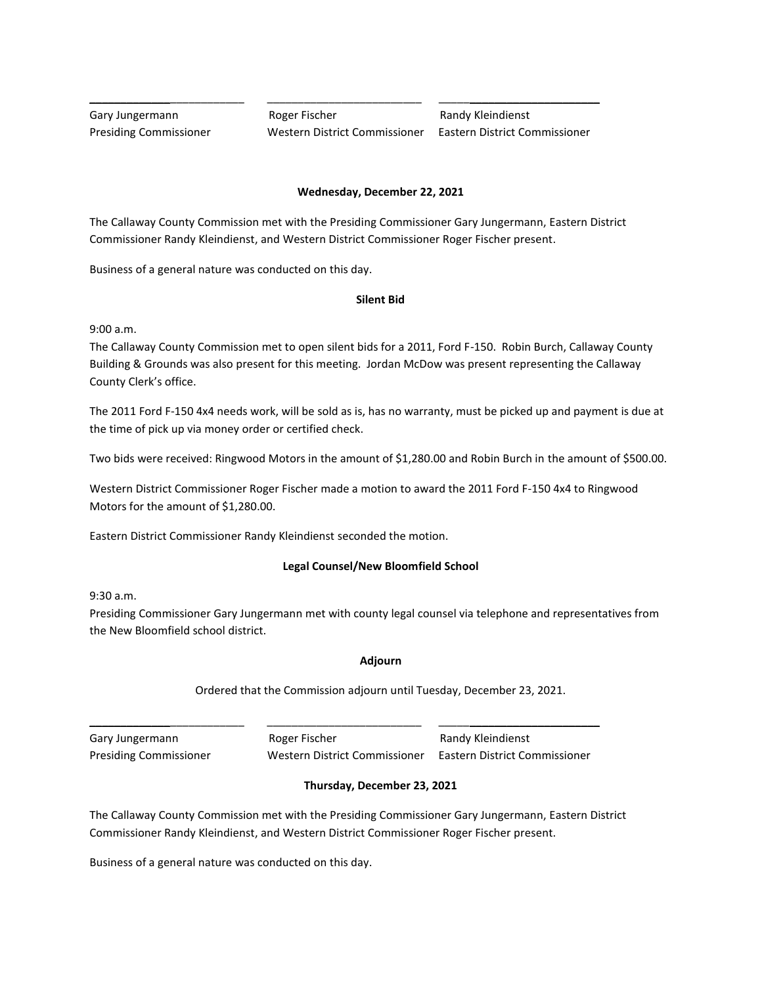Gary Jungermann **Roger Fischer** Randy Kleindienst Presiding Commissioner Western District Commissioner Eastern District Commissioner

# **Wednesday, December 22, 2021**

The Callaway County Commission met with the Presiding Commissioner Gary Jungermann, Eastern District Commissioner Randy Kleindienst, and Western District Commissioner Roger Fischer present.

\_\_\_\_\_\_\_\_\_\_\_\_\_\_\_\_\_\_\_\_\_\_\_\_\_ \_\_\_\_\_\_\_\_\_\_\_\_\_\_\_\_\_\_\_\_\_\_\_\_\_ \_\_\_\_\_\_\_\_\_\_\_\_\_\_\_\_\_\_\_\_\_\_\_\_\_\_

Business of a general nature was conducted on this day.

# **Silent Bid**

9:00 a.m.

The Callaway County Commission met to open silent bids for a 2011, Ford F-150. Robin Burch, Callaway County Building & Grounds was also present for this meeting. Jordan McDow was present representing the Callaway County Clerk's office.

The 2011 Ford F-150 4x4 needs work, will be sold as is, has no warranty, must be picked up and payment is due at the time of pick up via money order or certified check.

Two bids were received: Ringwood Motors in the amount of \$1,280.00 and Robin Burch in the amount of \$500.00.

Western District Commissioner Roger Fischer made a motion to award the 2011 Ford F-150 4x4 to Ringwood Motors for the amount of \$1,280.00.

Eastern District Commissioner Randy Kleindienst seconded the motion.

# **Legal Counsel/New Bloomfield School**

9:30 a.m.

Presiding Commissioner Gary Jungermann met with county legal counsel via telephone and representatives from the New Bloomfield school district.

# **Adjourn**

Ordered that the Commission adjourn until Tuesday, December 23, 2021.

Gary Jungermann **Roger Fischer** Randy Kleindienst Presiding Commissioner Western District Commissioner Eastern District Commissioner

# **Thursday, December 23, 2021**

The Callaway County Commission met with the Presiding Commissioner Gary Jungermann, Eastern District Commissioner Randy Kleindienst, and Western District Commissioner Roger Fischer present.

\_\_\_\_\_\_\_\_\_\_\_\_\_\_\_\_\_\_\_\_\_\_\_\_\_ \_\_\_\_\_\_\_\_\_\_\_\_\_\_\_\_\_\_\_\_\_\_\_\_\_ \_\_\_\_\_\_\_\_\_\_\_\_\_\_\_\_\_\_\_\_\_\_\_\_\_\_

Business of a general nature was conducted on this day.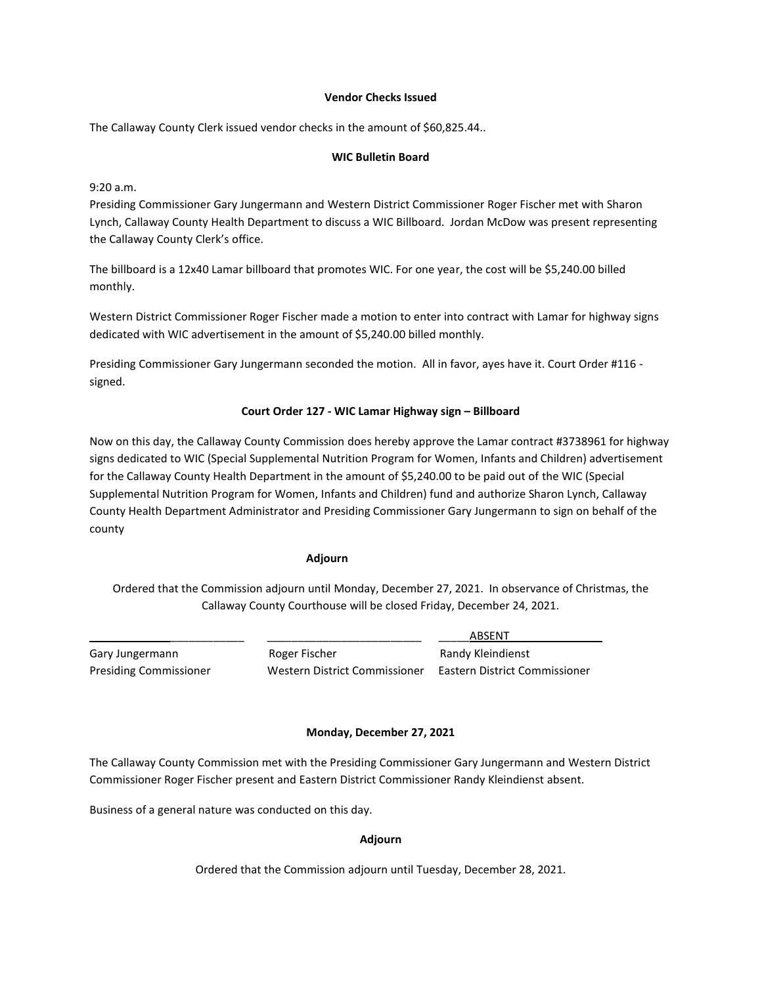#### **Vendor Checks Issued**

The Callaway County Clerk issued vendor checks in the amount of \$60,825.44..

# **WIC Bulletin Board**

9:20 a.m.

Presiding Commissioner Gary Jungermann and Western District Commissioner Roger Fischer met with Sharon Lynch, Callaway County Health Department to discuss a WIC Billboard. Jordan McDow was present representing the Callaway County Clerk's office.

The billboard is a 12x40 Lamar billboard that promotes WIC. For one year, the cost will be \$5,240.00 billed monthly.

Western District Commissioner Roger Fischer made a motion to enter into contract with Lamar for highway signs dedicated with WIC advertisement in the amount of \$5,240.00 billed monthly.

Presiding Commissioner Gary Jungermann seconded the motion. All in favor, ayes have it. Court Order #116 signed.

#### **Court Order 127 - WIC Lamar Highway sign – Billboard**

Now on this day, the Callaway County Commission does hereby approve the Lamar contract #3738961 for highway signs dedicated to WIC (Special Supplemental Nutrition Program for Women, Infants and Children) advertisement for the Callaway County Health Department in the amount of \$5,240.00 to be paid out of the WIC (Special Supplemental Nutrition Program for Women, Infants and Children) fund and authorize Sharon Lynch, Callaway County Health Department Administrator and Presiding Commissioner Gary Jungermann to sign on behalf of the county

#### **Adjourn**

Ordered that the Commission adjourn until Monday, December 27, 2021. In observance of Christmas, the Callaway County Courthouse will be closed Friday, December 24, 2021.

Gary Jungermann **Roger Fischer Randy Kleindienst** Randy Kleindienst

\_\_\_\_\_\_\_\_\_\_\_\_\_\_\_\_\_\_\_\_\_\_\_\_\_ \_\_\_\_\_\_\_\_\_\_\_\_\_\_\_\_\_\_\_\_\_\_\_\_\_ \_\_\_\_\_ABSENT\_\_\_\_\_\_\_\_\_\_\_\_\_\_\_ Presiding Commissioner Western District Commissioner Eastern District Commissioner

#### **Monday, December 27, 2021**

The Callaway County Commission met with the Presiding Commissioner Gary Jungermann and Western District Commissioner Roger Fischer present and Eastern District Commissioner Randy Kleindienst absent.

Business of a general nature was conducted on this day.

#### **Adjourn**

Ordered that the Commission adjourn until Tuesday, December 28, 2021.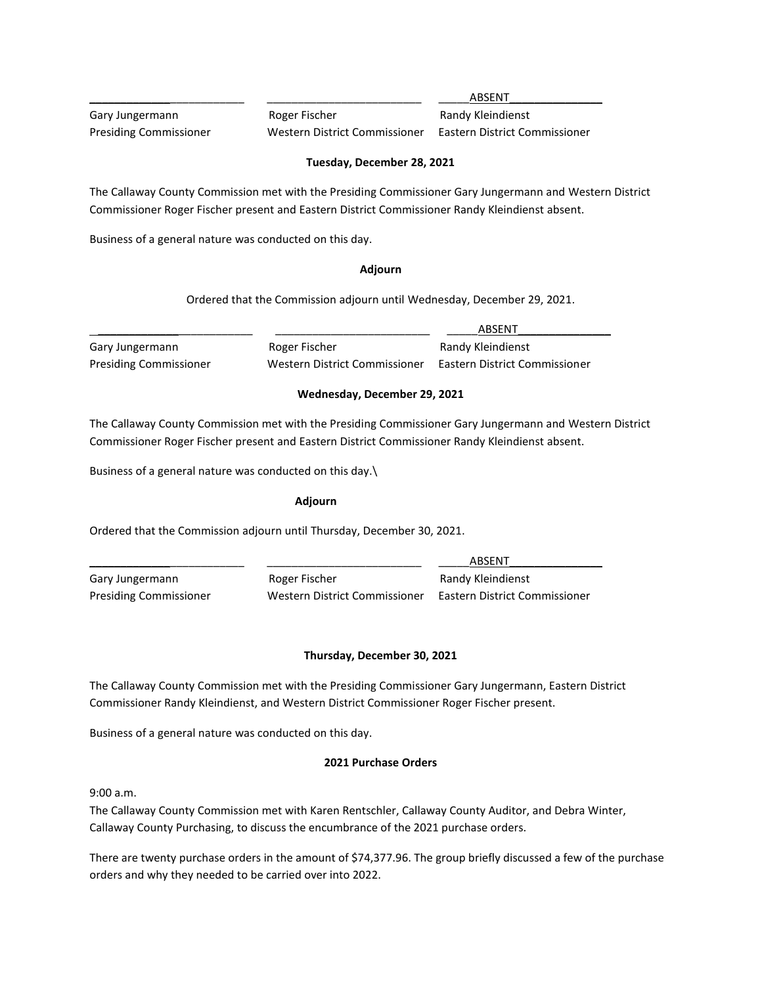Gary Jungermann **Roger Fischer** Randy Kleindienst

\_\_\_\_\_\_\_\_\_\_\_\_\_\_\_\_\_\_\_\_\_\_\_\_\_ \_\_\_\_\_\_\_\_\_\_\_\_\_\_\_\_\_\_\_\_\_\_\_\_\_ \_\_\_\_\_ABSENT\_\_\_\_\_\_\_\_\_\_\_\_\_\_\_

Presiding Commissioner Western District Commissioner Eastern District Commissioner

# **Tuesday, December 28, 2021**

The Callaway County Commission met with the Presiding Commissioner Gary Jungermann and Western District Commissioner Roger Fischer present and Eastern District Commissioner Randy Kleindienst absent.

Business of a general nature was conducted on this day.

# **Adjourn**

Ordered that the Commission adjourn until Wednesday, December 29, 2021.

\_\_\_\_\_\_\_\_\_\_\_\_\_\_\_\_\_\_\_\_\_\_\_\_\_ \_\_\_\_\_\_\_\_\_\_\_\_\_\_\_\_\_\_\_\_\_\_\_\_\_ \_\_\_\_\_ABSENT\_\_\_\_\_\_\_\_\_\_\_\_\_\_\_

Gary Jungermann **Roger Fischer** Randy Kleindienst Presiding Commissioner Western District Commissioner Eastern District Commissioner

# **Wednesday, December 29, 2021**

The Callaway County Commission met with the Presiding Commissioner Gary Jungermann and Western District Commissioner Roger Fischer present and Eastern District Commissioner Randy Kleindienst absent.

Business of a general nature was conducted on this day.\

# **Adjourn**

Ordered that the Commission adjourn until Thursday, December 30, 2021.

\_\_\_\_\_\_\_\_\_\_\_\_\_\_\_\_\_\_\_\_\_\_\_\_\_ \_\_\_\_\_\_\_\_\_\_\_\_\_\_\_\_\_\_\_\_\_\_\_\_\_ \_\_\_\_\_ABSENT\_\_\_\_\_\_\_\_\_\_\_\_\_\_\_ Gary Jungermann **Roger Fischer** Randy Kleindienst Presiding Commissioner Western District Commissioner Eastern District Commissioner

# **Thursday, December 30, 2021**

The Callaway County Commission met with the Presiding Commissioner Gary Jungermann, Eastern District Commissioner Randy Kleindienst, and Western District Commissioner Roger Fischer present.

Business of a general nature was conducted on this day.

# **2021 Purchase Orders**

 $9:00 a.m.$ 

The Callaway County Commission met with Karen Rentschler, Callaway County Auditor, and Debra Winter, Callaway County Purchasing, to discuss the encumbrance of the 2021 purchase orders.

There are twenty purchase orders in the amount of \$74,377.96. The group briefly discussed a few of the purchase orders and why they needed to be carried over into 2022.